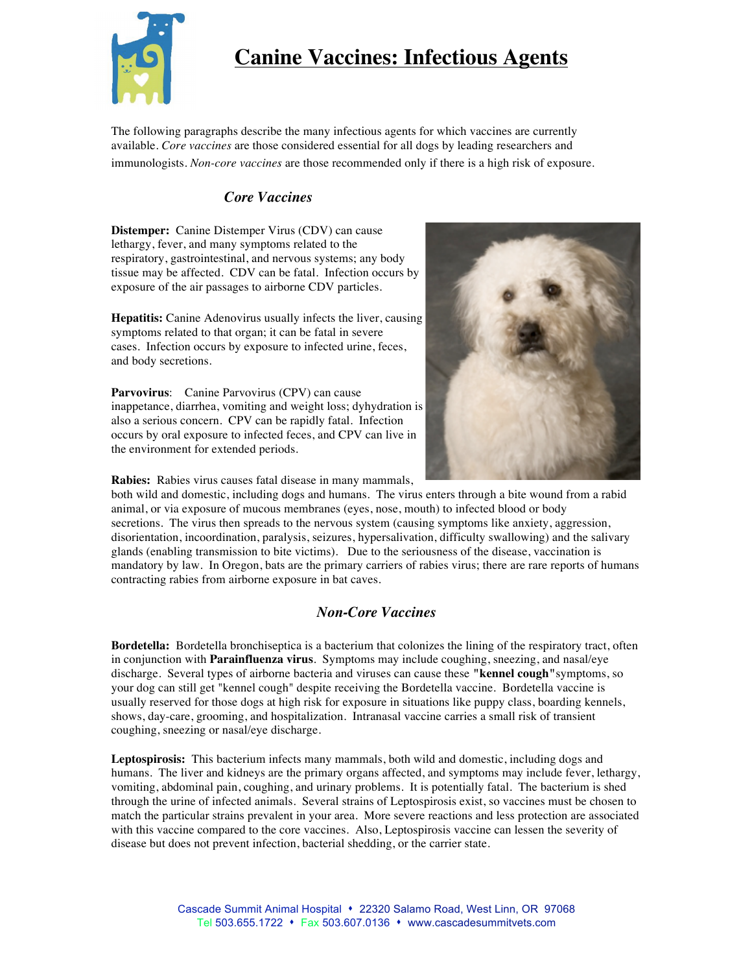

# **Canine Vaccines: Infectious Agents**

The following paragraphs describe the many infectious agents for which vaccines are currently available. *Core vaccines* are those considered essential for all dogs by leading researchers and immunologists. *Non-core vaccines* are those recommended only if there is a high risk of exposure.

#### *Core Vaccines*

**Distemper:** Canine Distemper Virus (CDV) can cause lethargy, fever, and many symptoms related to the respiratory, gastrointestinal, and nervous systems; any body tissue may be affected. CDV can be fatal. Infection occurs by exposure of the air passages to airborne CDV particles.

**Hepatitis:** Canine Adenovirus usually infects the liver, causing symptoms related to that organ; it can be fatal in severe cases. Infection occurs by exposure to infected urine, feces, and body secretions.

**Parvovirus**: Canine Parvovirus (CPV) can cause inappetance, diarrhea, vomiting and weight loss; dyhydration is also a serious concern. CPV can be rapidly fatal. Infection occurs by oral exposure to infected feces, and CPV can live in the environment for extended periods.



**Rabies:** Rabies virus causes fatal disease in many mammals,

both wild and domestic, including dogs and humans. The virus enters through a bite wound from a rabid animal, or via exposure of mucous membranes (eyes, nose, mouth) to infected blood or body secretions. The virus then spreads to the nervous system (causing symptoms like anxiety, aggression, disorientation, incoordination, paralysis, seizures, hypersalivation, difficulty swallowing) and the salivary glands (enabling transmission to bite victims). Due to the seriousness of the disease, vaccination is mandatory by law. In Oregon, bats are the primary carriers of rabies virus; there are rare reports of humans contracting rabies from airborne exposure in bat caves.

### *Non-Core Vaccines*

**Bordetella:** Bordetella bronchiseptica is a bacterium that colonizes the lining of the respiratory tract, often in conjunction with **Parainfluenza virus**. Symptoms may include coughing, sneezing, and nasal/eye discharge. Several types of airborne bacteria and viruses can cause these **"kennel cough"**symptoms, so your dog can still get "kennel cough" despite receiving the Bordetella vaccine. Bordetella vaccine is usually reserved for those dogs at high risk for exposure in situations like puppy class, boarding kennels, shows, day-care, grooming, and hospitalization. Intranasal vaccine carries a small risk of transient coughing, sneezing or nasal/eye discharge.

**Leptospirosis:** This bacterium infects many mammals, both wild and domestic, including dogs and humans. The liver and kidneys are the primary organs affected, and symptoms may include fever, lethargy, vomiting, abdominal pain, coughing, and urinary problems. It is potentially fatal. The bacterium is shed through the urine of infected animals. Several strains of Leptospirosis exist, so vaccines must be chosen to match the particular strains prevalent in your area. More severe reactions and less protection are associated with this vaccine compared to the core vaccines. Also, Leptospirosis vaccine can lessen the severity of disease but does not prevent infection, bacterial shedding, or the carrier state.